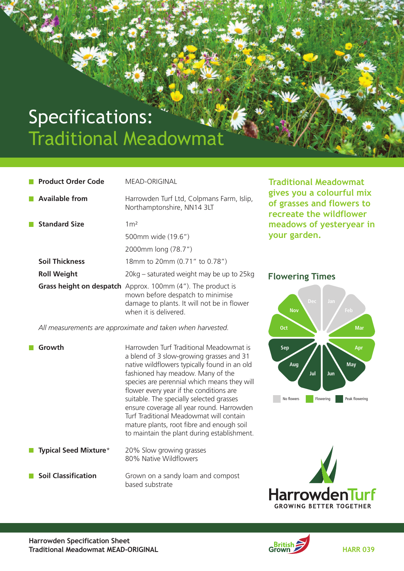# Specifications: Traditional Meadowmat

**Product Order Code** MEAD-ORIGINAL

| <b>Available from</b> | Harrowden Turf Ltd, Colpmans Farm, Islip,<br>Northamptonshire, NN14 3LT                                                                                                       |
|-----------------------|-------------------------------------------------------------------------------------------------------------------------------------------------------------------------------|
| <b>Standard Size</b>  | 1 <sup>2</sup>                                                                                                                                                                |
|                       | 500mm wide (19.6")                                                                                                                                                            |
|                       | 2000mm long (78.7")                                                                                                                                                           |
| <b>Soil Thickness</b> | 18mm to 20mm (0.71" to 0.78")                                                                                                                                                 |
| <b>Roll Weight</b>    | 20kg – saturated weight may be up to 25kg                                                                                                                                     |
|                       | <b>Grass height on despatch</b> Approx. 100mm (4"). The product is<br>mown before despatch to minimise<br>damage to plants. It will not be in flower<br>when it is delivered. |

 *All measurements are approximate and taken when harvested.*

**Growth** Harrowden Turf Traditional Meadowmat is a blend of 3 slow-growing grasses and 31 native wildflowers typically found in an old fashioned hay meadow. Many of the species are perennial which means they will flower every year if the conditions are suitable. The specially selected grasses ensure coverage all year round. Harrowden Turf Traditional Meadowmat will contain mature plants, root fibre and enough soil to maintain the plant during establishment.

 **Typical Seed Mixture**\* 20% Slow growing grasses 80% Native Wildflowers

**Soil Classification** Grown on a sandy loam and compost based substrate

**Traditional Meadowmat gives you a colourful mix of grasses and flowers to recreate the wildflower meadows of yesteryear in your garden.**

#### **Flowering Times**